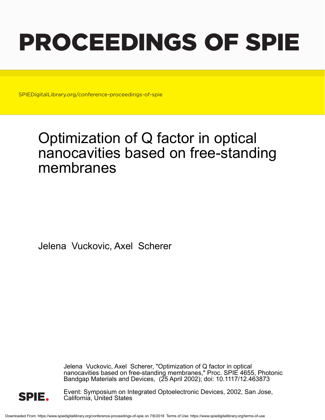# PROCEEDINGS OF SPIE

SPIEDigitalLibrary.org/conference-proceedings-of-spie

## Optimization of Q factor in optical nanocavities based on free-standing membranes

Jelena Vuckovic, Axel Scherer

Jelena Vuckovic, Axel Scherer, "Optimization of Q factor in optical nanocavities based on free-standing membranes," Proc. SPIE 4655, Photonic Bandgap Materials and Devices, (25 April 2002); doi: 10.1117/12.463873



Event: Symposium on Integrated Optoelectronic Devices, 2002, San Jose, California, United States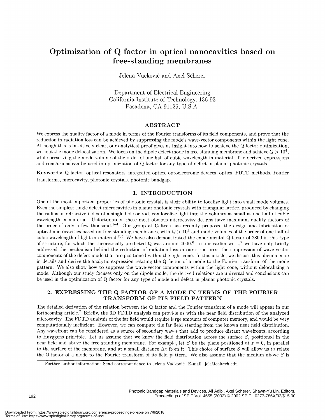### Optimization of Q factor in optical nanocavities based on free-standing membranes

Jelena Vuëkovié and Axel Scherer

Department of Electrical Engineering California Institute of Technology, 136-93 Pasadena, CA 91125, U.S.A.

#### ABSTRACT

We express the quality factor of a mode in terms of the Fourier transforms of its field components, and prove that the reduction in radiation loss can be achieved by suppressing the mode's wave-vector components within the light cone. Although this is intuitively clear, our analytical proof gives us insight into how to achieve the Q factor optimization, without the mode delocalization. We focus on the dipole defect mode in free standing membrane and achieve  $Q > 10^4$ , while preserving the mode volume of the order of one half of cubic wavelength in material. The derived expressions and conclusions can be used in optimization of Q factor for any type of defect in planar photonic crystals.

Keywords: Q factor, optical resonators, integrated optics, optoelectronic devices, optics, FDTD methods, Fourier transforms, microcavity, photonic crystals, photonic bandgap.

#### 1. INTRODUCTION

One of the most important properties of photonic crystals is their ability to localize light into small mode volumes. Even the simplest single defect microcavities in planar photonic crystals with triangular lattice, produced by changing the radius or refractive index of a single hole or rod, can localize light into the volumes as small as one half of cubic wavelength in material. Unfortunately, these most obvious microcavity designs have maximum quality factors of the order of only a few thousand.<sup>1-4</sup> Our group at Caltech has recently proposed the design and fabrication of optical microcavities based on free-standing membranes, with  $Q > 10^4$  and mode volumes of the order of one half of cubic wavelength of light in material.<sup>2,5</sup> We have also demonstrated the experimental Q factor of 2800 in this type of structure, for which the theoretically predicted Q was around  $4000.6$  In our earlier work,<sup>2</sup> we have only briefly addressed the mechanism behind the reduction of radiation loss in our structures: the suppression of wave-vector components of the defect mode that are positioned within the light cone. In this article, we discuss this phenomenon in details and derive the analytic expression relating the Q factor of a mode to the Fourier transform of the mode pattern. We also show how to suppress the wave-vector components within the light cone, without delocalizing a mode. Although our study focuses only on the dipole mode, the derived relations are universal and conclusions can be used in the optimization of Q factor for any type of mode and defect in planar photonic crystals.

#### 2. EXPRESSING THE Q FACTOR OF A MODE IN TERMS OF THE FOURIER TRANSFORM OF ITS FIELD PATTERN

The detailed derivation of the relation between the Q factor and the Fourier transform of a mode will appear in our forthcoming article.7 Briefly, the 3D FDTD analysis can provide us with the near field distribution of the analyzed microcavity. The FDTD analysis of the far field would require large amounts of computer memory, and would be very computationally inefficient. However, we can compute the far field starting from the known near field distribution. Any wavefront can be considered as a source of secondary waves that add to produce distant wavefronts, according to Huyggens principle. Let us assume that we know the field distribution across the surface  $S$ , positioned in the near field and above the free standing membrane. For example, let S be the plane positioned at  $z=0$ , in parallel to the surface of the membrane, and at a small distance  $\Delta z$  from it. This choice of surface S will allow us to relate the Q factor of a mode to the Fourier transform of its field pattern. We also assume that the medium above  $S$  is

Further author information: Send correspondence to Jelena Vučković. E-mail: jela@caltech.edu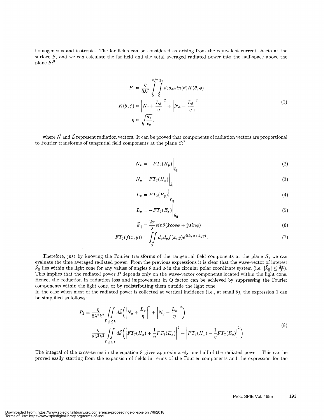homogeneous and isotropic. The far fields can be considered as arising from the equivalent current sheets at the surface  $S$ , and we can calculate the far field and the total averaged radiated power into the half-space above the plane  $S:$ <sup>8</sup>

$$
P_1 = \frac{\eta}{8\lambda^2} \int_0^{\pi/2} \int_0^{2\pi} d_{\theta} d_{\phi} \sin(\theta) K(\theta, \phi)
$$
  

$$
K(\theta, \phi) = \left| N_{\theta} + \frac{L_{\phi}}{\eta} \right|^2 + \left| N_{\phi} - \frac{L_{\theta}}{\eta} \right|^2
$$
  

$$
\eta = \sqrt{\frac{\mu_{\phi}}{\epsilon_o}},
$$
 (1)

where  $\vec{N}$  and  $\vec{L}$  represent radiation vectors. It can be proved that components of radiation vectors are proportional to Fourier transforms of tangential field components at the plane  $S$ :<sup>7</sup>

$$
N_x = -FT_2(H_y)\bigg|_{\vec{k}_1} \tag{2}
$$

$$
N_y = FT_2(H_x)\Big|_{\vec{k}_{\parallel}}
$$
\n<sup>(3)</sup>

$$
L_x = FT_2(E_y)\Big|_{\vec{k}_{\parallel}}
$$
\n<sup>(4)</sup>

$$
L_y = -FT_2(E_x)\Big|_{\vec{k}_{\parallel}}
$$
\n<sup>(5)</sup>

$$
\vec{k}_{||} = \frac{2\pi}{\lambda} sin\theta(\hat{x}cos\phi + \hat{y}sin\phi)
$$
\n(6)

$$
FT_2(f(x,y)) = \iint\limits_{S} d_x d_y f(x,y) e^{i(k_x x + k_y y)}, \tag{7}
$$

Therefore, just by knowing the Fourier transforms of the tangential field components at the plane  $S$ , we can evaluate the time averaged radiated power. From the previous expressions it is clear that the wave-vector of interest  $\vec{k}_{\parallel}$  lies within the light cone for any values of angles  $\theta$  and  $\phi$  in the circular polar coordinate system (i.e.  $|\vec{k}_{\parallel}| \leq \frac{2\pi}{\lambda}$ ). This implies that the radiated power  $P$  depends only on the wave-vector components located within the light cone. Hence, the reduction in radiation loss and improvement in Q factor can be achieved by suppressing the Fourier components within the light cone, or by redistributing them outside the light cone.

In the case when most of the radiated power is collected at vertical incidence (i.e., at small  $\theta$ ), the expression 1 can be simplified as follows:

$$
P_2 = \frac{\eta}{8\lambda^2 k^2} \iint\limits_{|\vec{k}_{\parallel}| \le k} d\vec{k} \left( \left| N_x + \frac{L_y}{\eta} \right|^2 + \left| N_y - \frac{L_x}{\eta} \right|^2 \right) = \frac{\eta}{8\lambda^2 k^2} \iint\limits_{|\vec{k}_{\parallel}| \le k} d\vec{k} \left( \left| FT_2(H_y) + \frac{1}{\eta} FT_2(E_x) \right|^2 + \left| FT_2(H_x) - \frac{1}{\eta} FT_2(E_y) \right|^2 \right)
$$
(8)

The integral of the cross-terms in the equation 8 gives approximately one half of the radiated power. This can be proved easily starting from the expansion of fields in terms of the Fourier components and the expression for the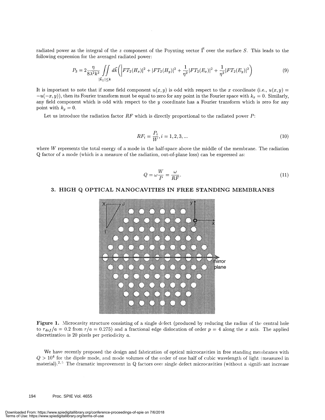radiated power as the integral of the z component of the Poynting vector  $\vec{\Gamma}$  over the surface S. This leads to the following expression for the averaged radiated power:

$$
P_3 = 2 \frac{\eta}{8\lambda^2 k^2} \iint\limits_{|\vec{k}_1| \le k} d\vec{k} \left( \left| FT_2(H_x) \right|^2 + \left| FT_2(H_y) \right|^2 + \frac{1}{\eta^2} \left| FT_2(E_x) \right|^2 + \frac{1}{\eta^2} \left| FT_2(E_y) \right|^2 \right) \tag{9}
$$

It is important to note that if some field component  $u(x, y)$  is odd with respect to the x coordinate (i.e.,  $u(x, y) = -u(-x, y)$ ), then its Fourier transform must be equal to zero for any point in the Fourier space with  $k_x = 0$ any field component which is odd with respect to the  $y$  coordinate has a Fourier transform which is zero for any point with  $k_y = 0$ .

Let us introduce the radiation factor  $RF$  which is directly proportional to the radiated power  $P$ :

$$
RF_i = \frac{P_i}{W}, i = 1, 2, 3, \dots
$$
\n(10)

where  $W$  represents the total energy of a mode in the half-space above the middle of the membrane. The radiation Q factor of a mode (which is a measure of the radiation, out-of-plane loss) can be expressed as:

$$
Q = \omega \frac{W}{P} = \frac{\omega}{RF}.
$$
\n(11)

#### 3. HIGH Q OPTICAL NANOCAVITIES IN FREE STANDING MEMBRANES



Figure 1. Microcavity structure consisting of a single defect (produced by reducing the radius of the central hole to  $r_{def}/a = 0.2$  from  $r/a = 0.275$ ) and a fractional edge dislocation of order  $p = 4$  along the x axis. The applied discretization is 20 pixels per periodicity a.

We have recently proposed the design and fabrication of optical microcavities in free standing membranes with  $Q > 10^4$  for the dipole mode, and mode volumes of the order of one half of cubic wavelength of light (measured in material).<sup>2,5</sup> The dramatic improvement in Q factors over single defect microcavities (without a significant increase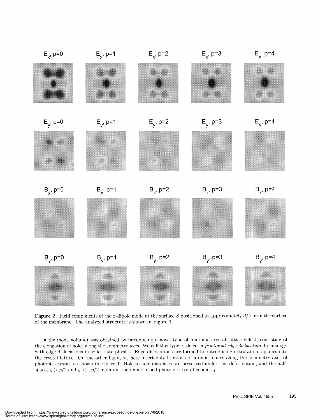

Figure 2. Field components of the x-dipole mode at the surface S positioned at approximately  $d/4$  from the surface of the membrane. The analyzed structure is shown in Figure 1.

in the mode volume) was obtained by introducing a novel type of photonic crystal lattice defect, consisting of the elongation of holes along the symmetry axes. We call this type of defect a *fractional edge dislocation*, by analogy with edge dislocations in solid state physics. Edge dislocations are formed by introducing extra atomic planes into the crystal lattice. On the other hand, we here insert only fractions of atomic planes along the symmetry axes of photonic crystal, as shown in Figure 1. Hole-to-hole distances are preserved under this deformation, and the halfspaces  $y > p/2$  and  $y < -p/2$  maintain the unperturbed photonic crystal geometry.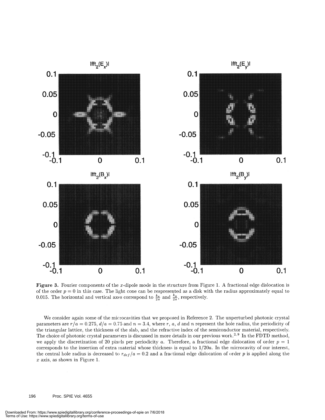

Figure 3. Fourier components of the x-dipole mode in the structure from Figure 1. A fractional edge dislocation is of the order  $p = 0$  in this case. The light cone can be respresented as a disk with the radius approximately equal to 0.015. The horizontal and vertical axes correspond to  $\frac{k_x}{2\pi}$  and  $\frac{k_y}{2\pi}$ , respectively.

We consider again some of the microcavities that we proposed in Reference 2. The unperturbed photonic crystal parameters are  $r/a = 0.275$ ,  $d/a = 0.75$  and  $n = 3.4$ , where r, a, d and n represent the hole radius, the periodicity of the triangular lattice, the thickness of the slab, and the refractive index of the semiconductor material, respectively. The choice of photonic crystal parameters is discussed in more details in our previous work.<sup>2,9</sup> In the FDTD method, we apply the discretization of 20 pixels per periodicity a. Therefore, a fractional edge dislocation of order  $p = 1$ corresponds to the insertion of extra material whose thickness is equal to 1/20a. In the microcavity of our interest, the central hole radius is decreased to  $r_{def}/a = 0.2$  and a fractional edge dislocation of order p is applied along the x axis, as shown in Figure 1.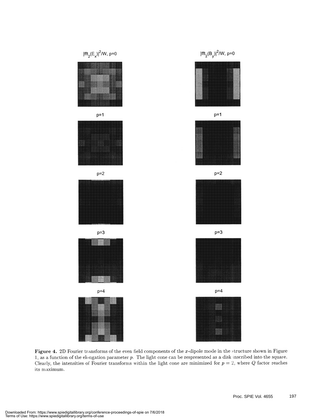

Figure 4. 2D Fourier transforms of the even field components of the x-dipole mode in the structure shown in Figure 1, as a function of the elongation parameter p. The light cone can be respresented as a disk inscribed into the square. Clearly, the intensities of Fourier transforms within the light cone are minimized for  $p = 2$ , where Q factor reaches its maximum.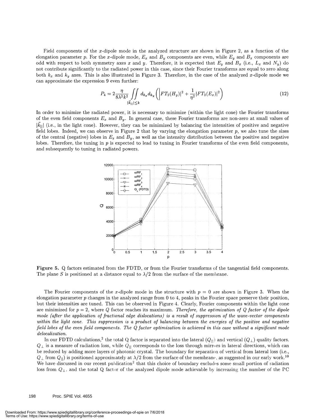Field components of the x-dipole mode in the analyzed structure are shown in Figure 2, as a function of the elongation parameter p. For the x-dipole mode,  $E_x$  and  $B_y$  components are even, while  $E_y$  and  $B_x$  (i.e.,  $L_x$  and  $N_y$ ) do doth symmetry axes x and y. Therefore, it is expected that  $E_y$  and  $B_x$  (i.e.,  $L_x$  and  $N_y$ ) not contribute significantly to the radiated power in this case, since their Fourier transforms are equal to zero along both  $k_x$  and  $k_y$  axes. This is also illustrated in Figure 3. Therefore, in the case of the analyzed x-dipole mode we can approximate the expression 9 even further:

$$
P_4 = 2 \frac{\eta}{8\lambda^2 k^2} \iint\limits_{|\vec{k}_{||}| \le k} d_{k_x} d_{k_y} \left( \left| FT_2(H_y) \right|^2 + \frac{1}{\eta^2} |FT_2(E_x)|^2 \right) \tag{12}
$$

In order to minimize the radiated power, it is necessary to minimize (within the light cone) the Fourier transforms of the even field components  $E_x$  and  $B_y$ . In general case, these Fourier transforms are non-zero at small values of  $|\vec{k}_{\parallel}|$  (i.e., in the light cone). However, they can be minimized by balancing the intensities of positive and negative field lobes. Indeed, we can observe in Figure 2 that by varying the elongation parameter  $p$ , we also tune the sizes of the central (negative) lobes in  $E_x$  and  $B_y$ , as well as the intensity distribution between the positive and negative lobes. Therefore, the tuning in p is expected to lead to tuning in Fourier transforms of the even field components, and subsequently to tuning in radiated powers.



Figure 5. Q factors estimated from the FDTD, or from the Fourier transforms of the tangential field components. The plane S is positioned at a distance equal to  $\lambda/2$  from the surface of the membrane.

The Fourier components of the x-dipole mode in the structure with  $p = 0$  are shown in Figure 3. When the elongation parameter p changes in the analyzed range from 0 to 4, peaks in the Fourier space preserve their position, but their intensities are tuned. This can be observed in Figure 4. Clearly, Fourier components within the light cone are minimized for  $p = 2$ , where Q factor reaches its maximum. Therefore, the optimization of Q factor of the dipole mode (after the application of fractional edge dislocations) is a result of suppression of the wave-vector components within the light cone. This suppression is a product of balancing between the energies of the positive and negative field lobes of the even field components. The  $Q$  factor optimization is achieved in this case without a significant mode delocalization.

In our FDTD calculations,<sup>2</sup> the total Q factor is separated into the lateral  $(Q_{\rm H})$  and vertical  $(Q_{\perp})$  quality factors.  $Q_\perp$  is a measure of radiation loss, while  $Q_{||}$  corresponds to the loss through mirrors in lateral directions, which can be reduced by adding more layers of photonic crystal. The boundary for separation of vertical from lateral loss (i.e.,  $Q_{\perp}$  from  $Q_{\parallel}$ ) is positioned approximately at  $\lambda/2$  from the surface of the membrane, as sugg We have discussed in our recent publication<sup>2</sup> that this choice of boundary excludes some small portion of radiation loss from  $Q_{\perp}$ , and the total Q factor of the analyzed dipole mode achievable by increasing the number of the PC